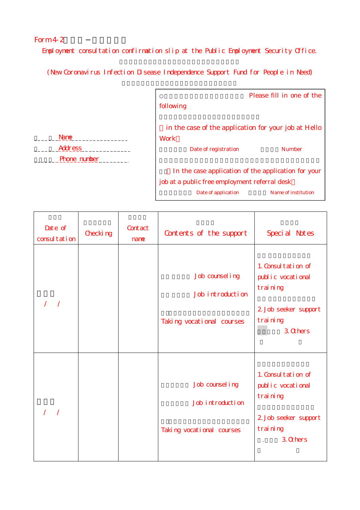## Form  $4-2$

Employment consultation confirmation slip at the Public Employment Security Office.

(New Coronavirus Infection Disease Independence Support Fund for People in Need)

| Please fill in one of the                            |  |  |  |  |  |
|------------------------------------------------------|--|--|--|--|--|
| following                                            |  |  |  |  |  |
|                                                      |  |  |  |  |  |
| in the case of the application for your job at Hello |  |  |  |  |  |
| Work                                                 |  |  |  |  |  |
| <b>Number</b><br>Date of registration                |  |  |  |  |  |
|                                                      |  |  |  |  |  |
| In the case application of the application for your  |  |  |  |  |  |
| job at a public free employment referral desk        |  |  |  |  |  |
| Name of institution<br>Date of application           |  |  |  |  |  |

ī

| <b>Nane</b>         |
|---------------------|
| <b>Address</b>      |
| <b>Phone</b> number |

| Date of<br>consultation | Checking | Contact<br>nane | Contents of the support                                          | Special Notes                                                                                        |
|-------------------------|----------|-----------------|------------------------------------------------------------------|------------------------------------------------------------------------------------------------------|
| $\prime$                |          |                 | Job counsel ing<br>Job introduction<br>Taking vocational courses | 1. Consultation of<br>public vocational<br>training<br>2 Job seeker support<br>training<br>3 Ohers   |
| $\overline{1}$          |          |                 | Job counsel ing<br>Job introduction<br>Taking vocational courses | 1. Consultation of<br>public vocational<br>training<br>2 Job seeker support<br>training<br>$3$ Ohers |